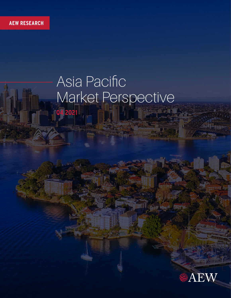# Asia Pacific Market Perspective **Q4 2021**



**Excellent**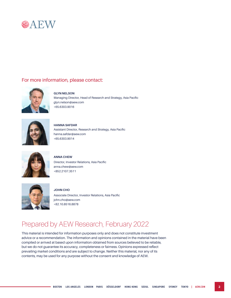

### For more information, please contact:



#### **GLYN NELSON**

Managing Director, Head of Research and Strategy, Asia Pacific glyn.nelson@aew.com +65.6303.9016



**HANNA SAFDAR** Assistant Director, Research and Strategy, Asia Pacific hanna.safdar@aew.com +65.6303.9014



#### **ANNA CHEW**

Director, Investor Relations, Asia Pacific anna.chew@aew.com +852.2107.3511



**JOHN CHO** Associate Director, Investor Relations, Asia Pacific

john.cho@aew.com +82.10.8516.8878

### Prepared by AEW Research, February 2022

This material is intended for information purposes only and does not constitute investment advice or a recommendation. The information and opinions contained in the material have been compiled or arrived at based upon information obtained from sources believed to be reliable, but we do not guarantee its accuracy, completeness or fairness. Opinions expressed reflect prevailing market conditions and are subject to change. Neither this material, nor any of its contents, may be used for any purpose without the consent and knowledge of AEW.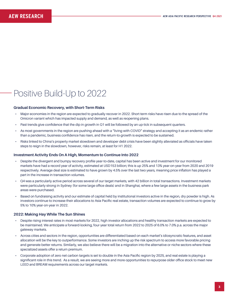# Positive Build-Up to 2022

#### **Gradual Economic Recovery, with Short-Term Risks**

- Major economies in the region are expected to gradually recover in 2022. Short-term risks have risen due to the spread of the Omicron variant which has impacted supply and demand, as well as reopening plans.
- Past trends give confidence that the dip in growth in Q1 will be followed by an up-tick in subsequent quarters.
- As most governments in the region are pushing ahead with a "living with COVID" strategy and accepting it as an endemic rather than a pandemic, business confidence has risen, and the return-to-growth is expected to be sustained.
- Risks linked to China's property market slowdown and developer debt crisis have been slightly alleviated as officials have taken steps to reign in the slowdown, however, risks remain, at least for H1 2022.

#### **Investment Activity Ends On A High, Momentum to Continue Into 2022**

- Despite the divergent and bumpy recovery profile year-to-date, capital has been active and investment for our monitored markets have had a record year of activity, estimated at USD153 billion; this is up 25% and 13% year-on-year from 2020 and 2019 respectively. Average deal size is estimated to have grown by 4.5% over the last two years, meaning price inflation has played a part in the increase in transaction volumes.
- Q4 was a particularly active period across several of our target markets, with 42 billion in total transactions. Investment markets were particularly strong in Sydney (for some large office deals) and in Shanghai, where a few large assets in the business park areas were purchased.
- Based on fundraising activity and our estimate of capital held by institutional investors active in the region, dry powder is high. As investors continue to increase their allocations to Asia Pacific real estate, transaction volumes are expected to continue to grow by 5% to 10% year-on-year in 2022.

#### **2022: Making Hay While The Sun Shines**

- Despite rising interest rates in most markets for 2022, high investor allocations and healthy transaction markets are expected to be maintained. We anticipate a forward-looking, four-year total return from 2022 to 2025 of 6.0% to 7.0% p.a. across the major gateway markets.
- Across cities and sectors in the region, opportunities are differentiated based on each market's idiosyncratic features, and asset allocation will be the key to outperformance. Some investors are inching up the risk spectrum to access more favorable pricing and generate better returns. Similarly, we also believe there will be a migration into the alternative or niche sectors where these specialized assets offer a return premium.
- Corporate adoption of zero net carbon targets is set to double in the Asia Pacific region by 2025, and real estate is playing a significant role in this trend. As a result, we are seeing more and more opportunities to repurpose older office stock to meet new LEED and BREAM requirements across our target markets.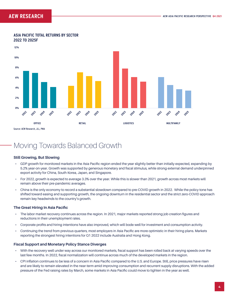#### **12% 10% 8% 6% 4% 2% 0% 2024** 2025 2023 **2024** 2025 2023 2022 2023 2024 2025 2023 2025 2022 2022 2024 2022 **OFFICE RETAIL LOGISTICS MULTIFAMILY**

Source: AEW Research, JLL, PMA

## Moving Towards Balanced Growth

#### **Still Growing, But Slowing**

- GDP growth for monitored markets in the Asia Pacific region ended the year slightly better than initially expected, expanding by 5.2% year-on-year. Growth was supported by generous monetary and fiscal stimulus, while strong external demand underpinned export activity for China, South Korea, Japan, and Singapore.
- For 2022, growth is expected to average 3.3% over the year. While this is slower than 2021, growth across most markets will remain above their pre-pandemic averages.
- China is the only economy to record a substantial slowdown compared to pre-COVID growth in 2022. While the policy tone has shifted toward easing and supporting growth, the ongoing downturn in the residential sector and the strict zero-COVID approach remain key headwinds to the country's growth.

#### **The Great Hiring In Asia Pacific**

- The labor market recovery continues across the region. In 2021, major markets reported strong job creation figures and reductions in their unemployment rates.
- Corporate profits and hiring intentions have also improved, which will bode well for investment and consumption activity.
- Continuing the trend from previous quarters, most employers in Asia Pacific are more optimistic in their hiring plans. Markets reporting the strongest hiring intentions for Q1 2022 include Australia and Hong Kong.

#### **Fiscal Support and Monetary Policy Stance Diverges**

- With the recovery well under way across our monitored markets, fiscal support has been rolled back at varying speeds over the last few months. In 2022, fiscal normalization will continue across much of the developed markets in the region.
- CPI inflation continues to be less of a concern in Asia Pacific compared to the U.S. and Europe. Still, price pressures have risen and are likely to remain elevated in the near-term amid improving consumption and recurrent supply disruptions. With the added pressure of the Fed raising rates by March, some markets in Asia Pacific could move to tighten in the year as well.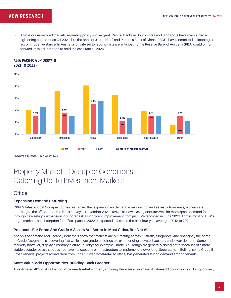• Across our monitored markets, monetary policy is divergent. Central banks in South Korea and Singapore have maintained a tightening course since Q4 2021, but the Bank of Japan (BoJ) and People's Bank of China (PBOC) have committed to keeping an accommodative stance. In Australia, private sector economists are anticipating the Reserve Bank of Australia (RBA) could bring forward its initial intention to hold the cash rate till 2024.





Source: Oxford Economics, as of Jan 30, 2022

### Property Markets: Occupier Conditions Catching Up To Investment Markets

### **Office**

#### **Expansion Demand Returning**

CBRE's latest Global Occupier Survey reaffirmed that expansionary demand is recovering, and as restrictions ease, workers are returning to the office. From the latest survey in November 2021, 48% of all new leasing enquires was for more space demand (either through new set-ups, expansion, or upgrades), a significant improvement from just 32% recorded in June 2021. Across most of AEW's target markets, net absorption for office space in 2022 is expected to exceed the past four-year average (2018 to 2021).

#### **Prospects For Prime And Grade A Assets Are Better In Most Cities, But Not All**

Analysis of demand and vacancy indicators show that markets are bifurcating across Australia, Singapore, and Shanghai; the prime or Grade A segment is recovering fast while lower grade buildings are experiencing elevated vacancy and lower demand. Some markets, however, display a contrary picture. In Tokyo for example, Grade B buildings are generally doing better because of a more stable occupier base that does not have the capacity or infrastructure to implement teleworking. Separately, in Beijing, some Grade B urban renewal projects (conversion from underutilized hotel/retail to office) has generated strong demand among tenants.

#### **More Value-Add Opportunities, Building Back Greener**

An estimated 40% of Asia Pacific office needs refurbishment, showing there are a fair share of value-add opportunities. Going forward,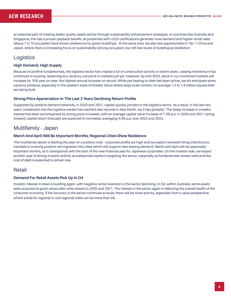an essential part of creating better quality assets will be through sustainability enhancement strategies. In countries like Australia and Singapore, this has a proven payback benefit, as properties with LEED certifications generate more demand and higher rental rates (about 7 in 10 occupiers have shown preference for green buildings). At the same time, we also see opportunities in Tier 1 China and Japan, where there is increasing focus on sustainability among occupiers, but still low levels of building accreditation.

### **Logistics**

#### **High Demand, High Supply**

Because of positive fundamentals, the logistics sector has created a lot of construction activity in recent years. Leasing momentum has continued to surprise, lessening any vacancy concerns in markets just yet. However, by end 2022, stock in our monitored markets will increase by 15% year-on-year, the highest annual increase on record. While pre-leasing to-date has been active, we do anticipate some vacancy pressure, especially in the western areas of Greater Seoul where large scale centers (on average 1.2 to 1.4 million square feet) are being built.

#### **Strong Price Appreciation In The Last 2 Years Declining Return Profile**

Supported by positive demand tailwinds, in 2020 and 2021, capital quickly pivoted to the logistics sector. As a result, in the last two years, investment into the logistics market has reached new records in Asia Pacific (as it has globally). The steep increase in investor interest has been accompanied by strong price increases, with an average capital value increase of 7.3% p.a. in 2020 and 2021. Going forward, capital return forecasts are expected to normalize, averaging 4.5% p.a. over 2022 and 2023.

### Multifamily - Japan

#### **March And April Will Be Important Months; Regional Cities Show Resilience**

The multifamily sector is starting the year on a positive note - corporate profits are high and we expect renewed hiring intentions to translate to a strong positive net migration into cities which will support new leasing demand. March and April will be seasonally important months, as it corresponds with the start of the new financial year for Japanese corporates. On the investor side, we expect another year of strong investor activity as substantial capital is targeting the sector, especially as fundamentals remain solid and the cost of debt is expected to remain low.

### Retail

#### **Demand For Retail Assets Pick Up In Q4**

Investor interest in retail is building again, with negative rental reversion in the sector declining. In Q4, within Australia, some assets were acquired at good values after write-downs in 2020 and 2021. The interest in the sector again is reflecting the overall health of the consumer economy. If the recovery in the sector continues to build, there will be more activity, especially from a value perspective, where yields for regional or sub regional malls can be more than 5%.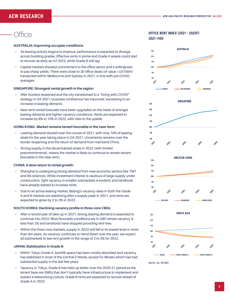# **Office**

#### **AUSTRALIA: Improving occupier conditions**

- As leasing activity begins to improve, performance is expected to diverge across building grades. Effective rents in prime and Grade A assets could start to recover as early as H2 2022, while Grade B will lag.
- Capital markets showed commitment to the office sector and a willingness to pay sharp yields. There were close to 30 office deals (of value >US100m) transacted within Melbourne and Sydney in 2021, in line with pre-COVID averages.

#### **SINGAPORE: Strongest rental growth in the region**

- After borders reopened and the city transitioned to a "living with COVID" strategy in Q4 2021, business confidence has improved, translating to an increase in leasing demand.
- Near-term rental forecasts have been upgraded on the heels of stronger leasing demand and tighter vacancy conditions. Rents are expected to increase by 8% to 10% in 2022, with risks to the upside

#### **HONG KONG: Market remains tenant favorable in the near-term**

- Leasing demand slowed over the course of 2021, with only 10% of leasing deals for the year taking place in Q4 2021. Uncertainty remains over the border reopening and the return of demand from mainland China.
- Strong supply in the decentralized areas in 2022 (with limited precommitments), means the market is likely to continue to remain tenant favorable in the near-term.

#### **CHINA: A slow return to rental growth**

- Shanghai is undergoing strong demand from new economy sectors like TMT and life sciences. While investment interest is cautious of large supply under construction, tight vacancy in smaller submarkets is evident, and landlords have already started to increase rents.
- Due to an active leasing market, Beijing's vacancy rates in both the Grade A and B markets are stabilizing after a supply peak in 2021, and rents are expected to grow by 2 to 3% in 2022.

#### **SOUTH KOREA: Declining vacancy profile in three-core CBDs**

- After a record year of take-up in 2021, strong leasing demand is expected to continue into 2022. Most favorable conditions are in GBD where vacancy is less than 2% and landlords have stopped providing rent-free.
- Within the three-core markets, supply in 2022 will fall to its lowest level in more than ten years. As vacancy continues to trend down over the year, we expect all submarkets to see rent growth in the range of 2 to 3% for 2022.

#### **JAPAN: Stabilization in Grade B**

- Within Tokyo Grade A, backfill space has been mostly absorbed and vacancy has stabilized in most of the Central 5 Wards, except for Minato which has had substantial supply in the last few years.
- Vacancy in Tokyo, Grade B has held up better over the 2020-21 period as the tenant base are SMEs that don't typically have infrastructure to implement and sustain a teleworking culture. Grade B rents are expected to recover ahead of Grade A in 2022.

#### **OFFICE RENT INDEX (2021 - 2025F) 2021 =100**









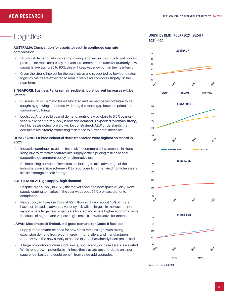# **Logistics**

#### **AUSTRALIA: Competition for assets to result in continued cap rate compression**

- Structural demand tailwinds and growing land values continue to put upward pressure on rents across key markets. Pre-commitment rates for quarterly new supply is averaging 80 to 90%, this will keep vacancy tight in the near-term.
- Given the strong interest for the asset class and supported by low bond rates logistics, yields are expected to remain stable (or compress slightly) in the near-term.

#### **SINGAPORE: Business Parks remain resilient, logistics rent increases will be limited**

- Business Parks. Demand for well-located and newer spaces continue to be sought by growing industries, widening the rental gap between prime and sub-prime buildings.
- Logistics. After a solid year of demand, rents grew by close to 5.0% year-onyear. While near-term supply is low and demand is expected to remain strong, rent increases going forward will be constrained. AEW understands that occupiers are already expressing resistance to further rent increases.

#### **HONG KONG: En-bloc industrial deals transacted were highest on record in 2021**

- Industrial continues to be the first pick for commercial investments in Hong Kong due to attractive features like supply deficit, pricing resilience and supportive government policy for alternative use.
- An increasing number of investors are looking to take advantage of the industrial conversion scheme 2.0 to repurpose to higher yielding niche assets like self-storage or cold storage.

#### **SOUTH KOREA: High supply, high demand**

- Despite large supply in 2021, the market absorbed new space quickly. New supply coming to market in the year was about 65% pre-leased prior to completion.
- New supply will peak in 2022 at 55 million sq ft –and about 10% of this is has been leased in advance. Vacancy risk will be largest in the western port region where large new projects are located and where higher economic rents (because of higher land values) might make it less attractive for tenants.

#### **JAPAN: Modern stock limited, still good demand for Grade B facilities**

- Supply and demand balance for new stock remains tight with strong expansion demand from e-commerce firms, retailers, and manufacturers. About 50% of the new supply expected in 2022 has already been pre-leased.
- A large proportion of older stock exists, but vacancy in these assets is elevated. While rent growth potential is minimal, these assets are affordable on a per square foot basis and could benefit from value-add upgrades.

#### **LOGISTICS RENT INDEX (2021- 2024F) 2021 =100**



Source: JLL, as of Q4 2021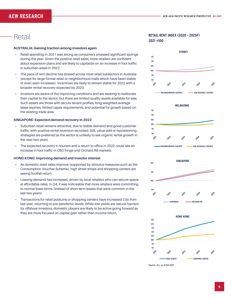### Retail

#### **AUSTRALIA: Gaining traction among investors again**

- Retail spending in 2021 was strong as consumers amassed significant savings during the year. Given the positive retail sales, more retailers are confident about expansion plans and are likely to capitalize on an increase in foot traffic in suburban areas in 2022.
- The pace of rent decline has slowed across most retail subsectors in Australia (except for large-format retail or neighborhood malls which have been stable or even seen increases). Incentives are likely to remain stable for 2022 with a broader rental recovery expected by 2023.
- Investors are aware of the improving conditions and are seeking to reallocate their capital to the sector, but there are limited quality assets available for sale. Such assets are those with secure tenant profiles, long weighted-average lease expiries, limited capex requirements, and potential for growth based on the existing trade area.

#### **SINGAPORE: Expected demand recovery in 2022**

- Suburban retail remains attractive, due to stable demand and good customer traffic, with positive rental reversion recorded. Still, value-add or repositioning strategies are preferred as the sector is unlikely to see organic rental growth in the next two years.
- The expected recovery in tourism and a return to office in 2022 could see an increase in foot traffic in CBD fringe and Orchard Rd markets.

#### **HONG KONG: Improving demand and investor interest**

- As domestic retail sales improve (supported by stimulus measures such as the Consumption Voucher Scheme), high street shops and shopping centers are seeing footfall return.
- Leasing demand has increased, driven by local retailers who can secure space at affordable rates. In Q4, it was noticeable that more retailers were committing to normal lease terms (instead of short-term leases that were common in the last two years)
- Transactions for retail podiums or shopping centers have increased 2.0x from last year, returning to pre-pandemic levels. While low yields are natural barriers for offshore investors, domestic players are likely to be active going forward as they are more focused on capital gain rather than income return.

#### **RETAIL RENT INDEX (2020 - 2025F) 2021 =100**









Source: JLL, as of Q4 2021